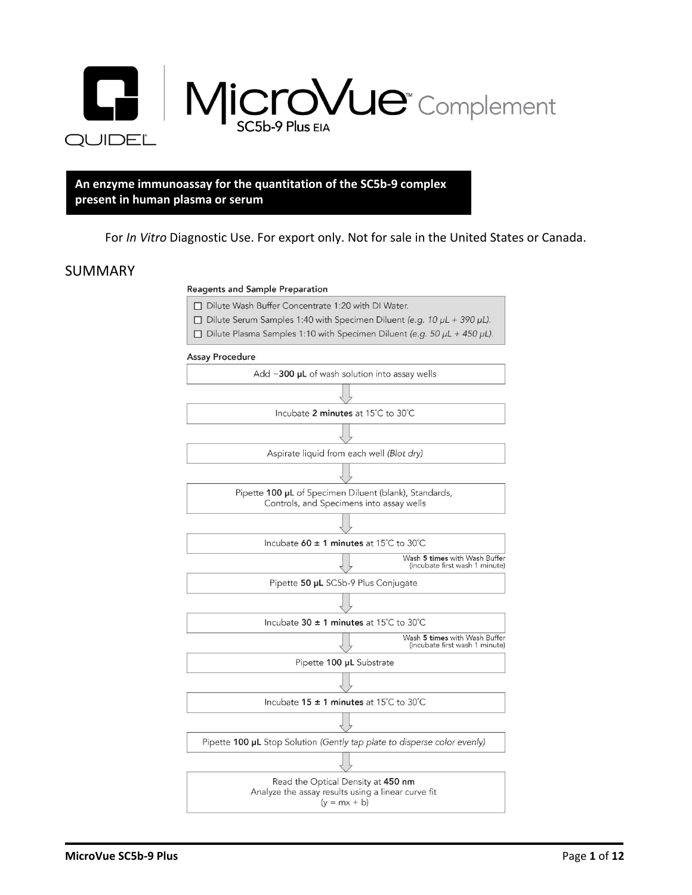

#### **An enzyme immunoassay for the quantitation of the SC5b-9 complex present in human plasma or serum**

#### For *In Vitro* Diagnostic Use. For export only. Not for sale in the United States or Canada.

#### SUMMARY

#### **Reagents and Sample Preparation**

- □ Dilute Wash Buffer Concentrate 1:20 with DI Water.
- $\Box$  Dilute Serum Samples 1:40 with Specimen Diluent (e.g. 10  $\mu$ L + 390  $\mu$ L).
- $\Box$  Dilute Plasma Samples 1:10 with Specimen Diluent (e.g. 50  $\mu$ L + 450  $\mu$ L).

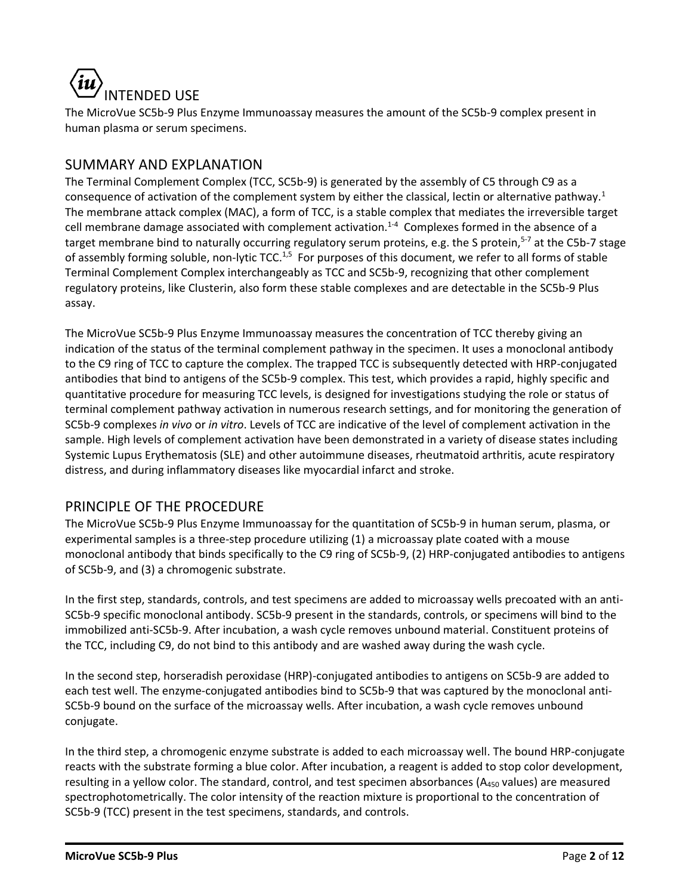

The MicroVue SC5b-9 Plus Enzyme Immunoassay measures the amount of the SC5b-9 complex present in human plasma or serum specimens.

# SUMMARY AND EXPLANATION

The Terminal Complement Complex (TCC, SC5b-9) is generated by the assembly of C5 through C9 as a consequence of activation of the complement system by either the classical, lectin or alternative pathway.<sup>1</sup> The membrane attack complex (MAC), a form of TCC, is a stable complex that mediates the irreversible target cell membrane damage associated with complement activation.<sup>1-4</sup> Complexes formed in the absence of a target membrane bind to naturally occurring regulatory serum proteins, e.g. the S protein,<sup>5-7</sup> at the C5b-7 stage of assembly forming soluble, non-lytic TCC.<sup>1,5</sup> For purposes of this document, we refer to all forms of stable Terminal Complement Complex interchangeably as TCC and SC5b-9, recognizing that other complement regulatory proteins, like Clusterin, also form these stable complexes and are detectable in the SC5b-9 Plus assay.

The MicroVue SC5b-9 Plus Enzyme Immunoassay measures the concentration of TCC thereby giving an indication of the status of the terminal complement pathway in the specimen. It uses a monoclonal antibody to the C9 ring of TCC to capture the complex. The trapped TCC is subsequently detected with HRP-conjugated antibodies that bind to antigens of the SC5b-9 complex. This test, which provides a rapid, highly specific and quantitative procedure for measuring TCC levels, is designed for investigations studying the role or status of terminal complement pathway activation in numerous research settings, and for monitoring the generation of SC5b-9 complexes *in vivo* or *in vitro*. Levels of TCC are indicative of the level of complement activation in the sample. High levels of complement activation have been demonstrated in a variety of disease states including Systemic Lupus Erythematosis (SLE) and other autoimmune diseases, rheutmatoid arthritis, acute respiratory distress, and during inflammatory diseases like myocardial infarct and stroke.

# PRINCIPLE OF THE PROCEDURE

The MicroVue SC5b-9 Plus Enzyme Immunoassay for the quantitation of SC5b-9 in human serum, plasma, or experimental samples is a three-step procedure utilizing (1) a microassay plate coated with a mouse monoclonal antibody that binds specifically to the C9 ring of SC5b-9, (2) HRP-conjugated antibodies to antigens of SC5b-9, and (3) a chromogenic substrate.

In the first step, standards, controls, and test specimens are added to microassay wells precoated with an anti-SC5b-9 specific monoclonal antibody. SC5b-9 present in the standards, controls, or specimens will bind to the immobilized anti-SC5b-9. After incubation, a wash cycle removes unbound material. Constituent proteins of the TCC, including C9, do not bind to this antibody and are washed away during the wash cycle.

In the second step, horseradish peroxidase (HRP)-conjugated antibodies to antigens on SC5b-9 are added to each test well. The enzyme-conjugated antibodies bind to SC5b-9 that was captured by the monoclonal anti-SC5b-9 bound on the surface of the microassay wells. After incubation, a wash cycle removes unbound conjugate.

In the third step, a chromogenic enzyme substrate is added to each microassay well. The bound HRP-conjugate reacts with the substrate forming a blue color. After incubation, a reagent is added to stop color development, resulting in a yellow color. The standard, control, and test specimen absorbances (A<sub>450</sub> values) are measured spectrophotometrically. The color intensity of the reaction mixture is proportional to the concentration of SC5b-9 (TCC) present in the test specimens, standards, and controls.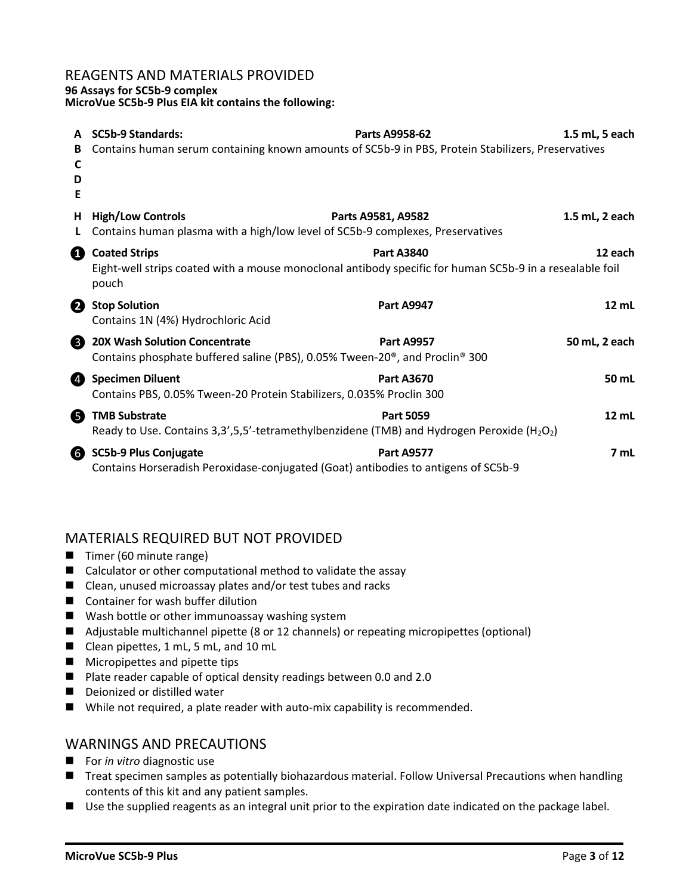#### REAGENTS AND MATERIALS PROVIDED

#### **96 Assays for SC5b-9 complex**

**MicroVue SC5b-9 Plus EIA kit contains the following:**

|                  | <b>SC5b-9 Standards:</b>                                                                                                                                                  | Parts A9958-62     | 1.5 mL, 5 each  |  |
|------------------|---------------------------------------------------------------------------------------------------------------------------------------------------------------------------|--------------------|-----------------|--|
| В<br>C<br>D<br>Е | Contains human serum containing known amounts of SC5b-9 in PBS, Protein Stabilizers, Preservatives                                                                        |                    |                 |  |
| Н.               | <b>High/Low Controls</b><br>Contains human plasma with a high/low level of SC5b-9 complexes, Preservatives                                                                | Parts A9581, A9582 | 1.5 mL, 2 each  |  |
| ❶                | <b>Coated Strips</b><br><b>Part A3840</b><br>12 each<br>Eight-well strips coated with a mouse monoclonal antibody specific for human SC5b-9 in a resealable foil<br>pouch |                    |                 |  |
| 2                | <b>Stop Solution</b><br>Contains 1N (4%) Hydrochloric Acid                                                                                                                | <b>Part A9947</b>  | $12 \text{ mL}$ |  |
| ❸                | <b>20X Wash Solution Concentrate</b><br>Contains phosphate buffered saline (PBS), 0.05% Tween-20 <sup>®</sup> , and Proclin <sup>®</sup> 300                              | <b>Part A9957</b>  | 50 mL, 2 each   |  |
| Ø                | <b>Specimen Diluent</b><br>Contains PBS, 0.05% Tween-20 Protein Stabilizers, 0.035% Proclin 300                                                                           | <b>Part A3670</b>  | 50 mL           |  |
| 6                | <b>TMB Substrate</b><br>Ready to Use. Contains 3,3',5,5'-tetramethylbenzidene (TMB) and Hydrogen Peroxide (H <sub>2</sub> O <sub>2</sub> )                                | <b>Part 5059</b>   | 12 mL           |  |
| 6                | <b>SC5b-9 Plus Conjugate</b><br>Contains Horseradish Peroxidase-conjugated (Goat) antibodies to antigens of SC5b-9                                                        | <b>Part A9577</b>  | 7 mL            |  |

# MATERIALS REQUIRED BUT NOT PROVIDED

- Timer (60 minute range)
- Calculator or other computational method to validate the assay
- Clean, unused microassay plates and/or test tubes and racks
- Container for wash buffer dilution
- Wash bottle or other immunoassay washing system
- Adjustable multichannel pipette (8 or 12 channels) or repeating micropipettes (optional)
- Clean pipettes, 1 mL, 5 mL, and 10 mL
- Micropipettes and pipette tips
- Plate reader capable of optical density readings between 0.0 and 2.0
- Deionized or distilled water
- While not required, a plate reader with auto-mix capability is recommended.

#### WARNINGS AND PRECAUTIONS

- For *in vitro* diagnostic use
- Treat specimen samples as potentially biohazardous material. Follow Universal Precautions when handling contents of this kit and any patient samples.
- Use the supplied reagents as an integral unit prior to the expiration date indicated on the package label.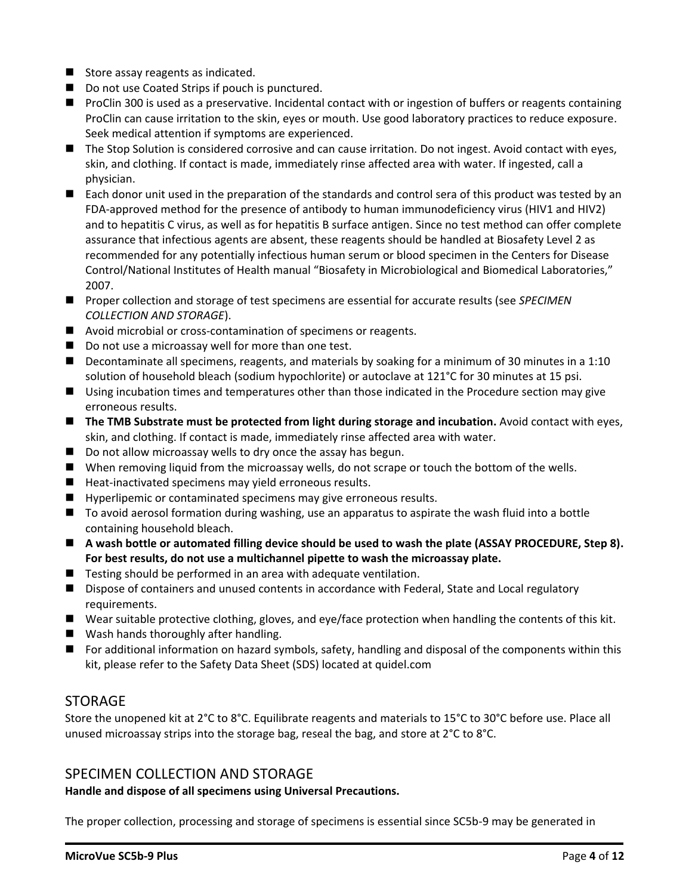- Store assay reagents as indicated.
- Do not use Coated Strips if pouch is punctured.
- ProClin 300 is used as a preservative. Incidental contact with or ingestion of buffers or reagents containing ProClin can cause irritation to the skin, eyes or mouth. Use good laboratory practices to reduce exposure. Seek medical attention if symptoms are experienced.
- The Stop Solution is considered corrosive and can cause irritation. Do not ingest. Avoid contact with eyes, skin, and clothing. If contact is made, immediately rinse affected area with water. If ingested, call a physician.
- Each donor unit used in the preparation of the standards and control sera of this product was tested by an FDA-approved method for the presence of antibody to human immunodeficiency virus (HIV1 and HIV2) and to hepatitis C virus, as well as for hepatitis B surface antigen. Since no test method can offer complete assurance that infectious agents are absent, these reagents should be handled at Biosafety Level 2 as recommended for any potentially infectious human serum or blood specimen in the Centers for Disease Control/National Institutes of Health manual "Biosafety in Microbiological and Biomedical Laboratories," 2007.
- Proper collection and storage of test specimens are essential for accurate results (see *SPECIMEN COLLECTION AND STORAGE*).
- Avoid microbial or cross-contamination of specimens or reagents.
- Do not use a microassay well for more than one test.
- Decontaminate all specimens, reagents, and materials by soaking for a minimum of 30 minutes in a 1:10 solution of household bleach (sodium hypochlorite) or autoclave at 121°C for 30 minutes at 15 psi.
- Using incubation times and temperatures other than those indicated in the Procedure section may give erroneous results.
- The TMB Substrate must be protected from light during storage and incubation. Avoid contact with eyes, skin, and clothing. If contact is made, immediately rinse affected area with water.
- Do not allow microassay wells to dry once the assay has begun.
- When removing liquid from the microassay wells, do not scrape or touch the bottom of the wells.
- Heat-inactivated specimens may yield erroneous results.
- Hyperlipemic or contaminated specimens may give erroneous results.
- To avoid aerosol formation during washing, use an apparatus to aspirate the wash fluid into a bottle containing household bleach.
- A wash bottle or automated filling device should be used to wash the plate (ASSAY PROCEDURE, Step 8). **For best results, do not use a multichannel pipette to wash the microassay plate.**
- Testing should be performed in an area with adequate ventilation.
- Dispose of containers and unused contents in accordance with Federal, State and Local regulatory requirements.
- Wear suitable protective clothing, gloves, and eye/face protection when handling the contents of this kit.
- Wash hands thoroughly after handling.
- For additional information on hazard symbols, safety, handling and disposal of the components within this kit, please refer to the Safety Data Sheet (SDS) located at quidel.com

#### **STORAGE**

Store the unopened kit at 2°C to 8°C. Equilibrate reagents and materials to 15°C to 30°C before use. Place all unused microassay strips into the storage bag, reseal the bag, and store at 2°C to 8°C.

#### SPECIMEN COLLECTION AND STORAGE

#### **Handle and dispose of all specimens using Universal Precautions.**

The proper collection, processing and storage of specimens is essential since SC5b-9 may be generated in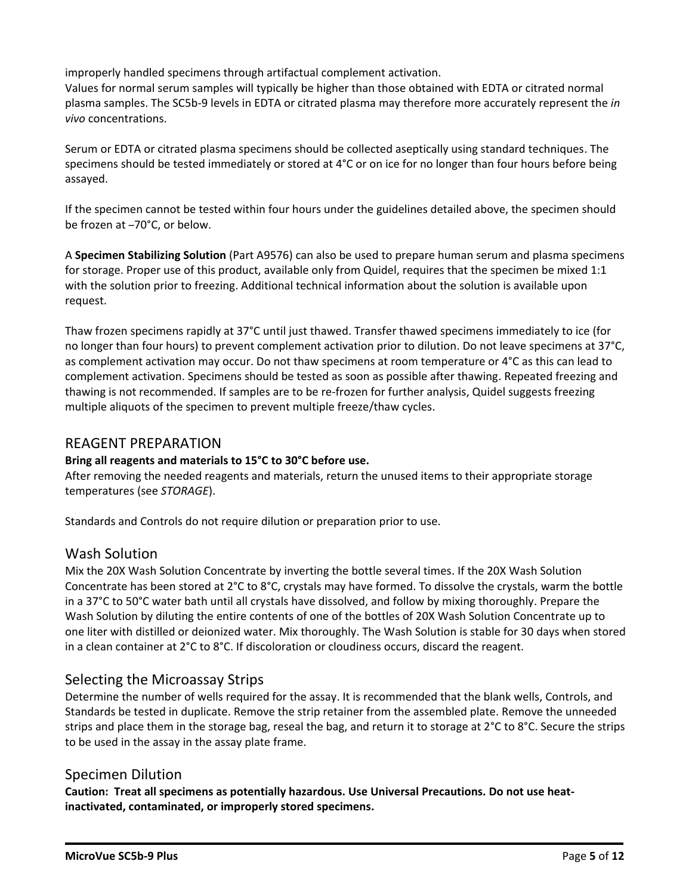improperly handled specimens through artifactual complement activation.

Values for normal serum samples will typically be higher than those obtained with EDTA or citrated normal plasma samples. The SC5b-9 levels in EDTA or citrated plasma may therefore more accurately represent the *in vivo* concentrations.

Serum or EDTA or citrated plasma specimens should be collected aseptically using standard techniques. The specimens should be tested immediately or stored at 4°C or on ice for no longer than four hours before being assayed.

If the specimen cannot be tested within four hours under the guidelines detailed above, the specimen should be frozen at –70°C, or below.

A **Specimen Stabilizing Solution** (Part A9576) can also be used to prepare human serum and plasma specimens for storage. Proper use of this product, available only from Quidel, requires that the specimen be mixed 1:1 with the solution prior to freezing. Additional technical information about the solution is available upon request.

Thaw frozen specimens rapidly at 37°C until just thawed. Transfer thawed specimens immediately to ice (for no longer than four hours) to prevent complement activation prior to dilution. Do not leave specimens at 37°C, as complement activation may occur. Do not thaw specimens at room temperature or 4°C as this can lead to complement activation. Specimens should be tested as soon as possible after thawing. Repeated freezing and thawing is not recommended. If samples are to be re-frozen for further analysis, Quidel suggests freezing multiple aliquots of the specimen to prevent multiple freeze/thaw cycles.

# REAGENT PREPARATION

#### **Bring all reagents and materials to 15°C to 30°C before use.**

After removing the needed reagents and materials, return the unused items to their appropriate storage temperatures (see *STORAGE*).

Standards and Controls do not require dilution or preparation prior to use.

#### Wash Solution

Mix the 20X Wash Solution Concentrate by inverting the bottle several times. If the 20X Wash Solution Concentrate has been stored at 2°C to 8°C, crystals may have formed. To dissolve the crystals, warm the bottle in a 37°C to 50°C water bath until all crystals have dissolved, and follow by mixing thoroughly. Prepare the Wash Solution by diluting the entire contents of one of the bottles of 20X Wash Solution Concentrate up to one liter with distilled or deionized water. Mix thoroughly. The Wash Solution is stable for 30 days when stored in a clean container at 2°C to 8°C. If discoloration or cloudiness occurs, discard the reagent.

# Selecting the Microassay Strips

Determine the number of wells required for the assay. It is recommended that the blank wells, Controls, and Standards be tested in duplicate. Remove the strip retainer from the assembled plate. Remove the unneeded strips and place them in the storage bag, reseal the bag, and return it to storage at 2°C to 8°C. Secure the strips to be used in the assay in the assay plate frame.

#### Specimen Dilution

**Caution: Treat all specimens as potentially hazardous. Use Universal Precautions. Do not use heatinactivated, contaminated, or improperly stored specimens.**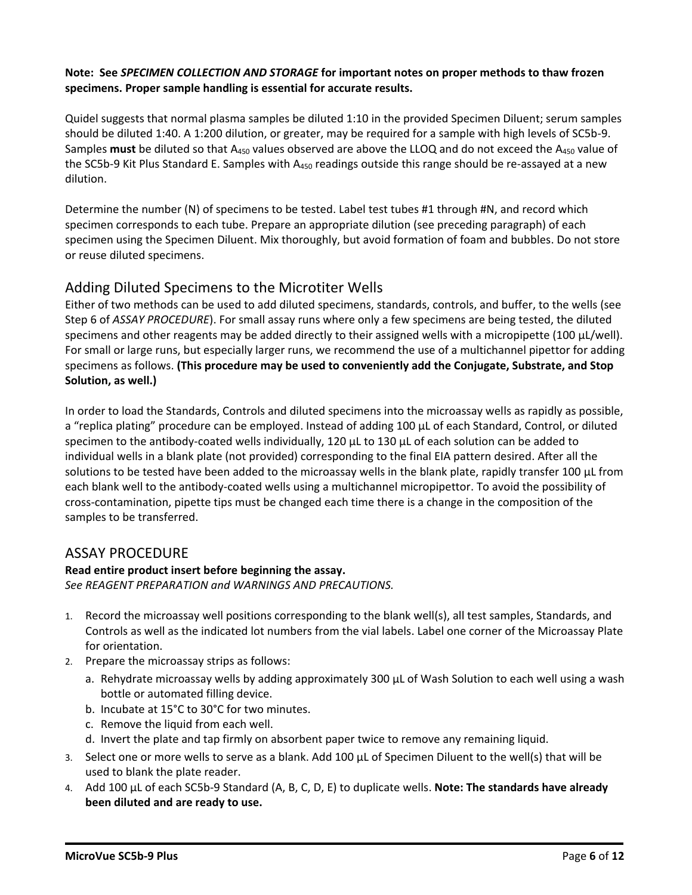#### **Note: See** *SPECIMEN COLLECTION AND STORAGE* **for important notes on proper methods to thaw frozen specimens. Proper sample handling is essential for accurate results.**

Quidel suggests that normal plasma samples be diluted 1:10 in the provided Specimen Diluent; serum samples should be diluted 1:40. A 1:200 dilution, or greater, may be required for a sample with high levels of SC5b-9. Samples must be diluted so that A<sub>450</sub> values observed are above the LLOQ and do not exceed the A<sub>450</sub> value of the SC5b-9 Kit Plus Standard E. Samples with A<sub>450</sub> readings outside this range should be re-assayed at a new dilution.

Determine the number (N) of specimens to be tested. Label test tubes #1 through #N, and record which specimen corresponds to each tube. Prepare an appropriate dilution (see preceding paragraph) of each specimen using the Specimen Diluent. Mix thoroughly, but avoid formation of foam and bubbles. Do not store or reuse diluted specimens.

# Adding Diluted Specimens to the Microtiter Wells

Either of two methods can be used to add diluted specimens, standards, controls, and buffer, to the wells (see Step 6 of *ASSAY PROCEDURE*). For small assay runs where only a few specimens are being tested, the diluted specimens and other reagents may be added directly to their assigned wells with a micropipette (100 µL/well). For small or large runs, but especially larger runs, we recommend the use of a multichannel pipettor for adding specimens as follows. **(This procedure may be used to conveniently add the Conjugate, Substrate, and Stop Solution, as well.)**

In order to load the Standards, Controls and diluted specimens into the microassay wells as rapidly as possible, a "replica plating" procedure can be employed. Instead of adding 100 µL of each Standard, Control, or diluted specimen to the antibody-coated wells individually, 120  $\mu$ L to 130  $\mu$ L of each solution can be added to individual wells in a blank plate (not provided) corresponding to the final EIA pattern desired. After all the solutions to be tested have been added to the microassay wells in the blank plate, rapidly transfer 100 µL from each blank well to the antibody-coated wells using a multichannel micropipettor. To avoid the possibility of cross-contamination, pipette tips must be changed each time there is a change in the composition of the samples to be transferred.

# ASSAY PROCEDURE

#### **Read entire product insert before beginning the assay.**

*See REAGENT PREPARATION and WARNINGS AND PRECAUTIONS.*

- 1. Record the microassay well positions corresponding to the blank well(s), all test samples, Standards, and Controls as well as the indicated lot numbers from the vial labels. Label one corner of the Microassay Plate for orientation.
- 2. Prepare the microassay strips as follows:
	- a. Rehydrate microassay wells by adding approximately 300 µL of Wash Solution to each well using a wash bottle or automated filling device.
	- b. Incubate at 15°C to 30°C for two minutes.
	- c. Remove the liquid from each well.
	- d. Invert the plate and tap firmly on absorbent paper twice to remove any remaining liquid.
- 3. Select one or more wells to serve as a blank. Add 100 µL of Specimen Diluent to the well(s) that will be used to blank the plate reader.
- 4. Add 100 µL of each SC5b-9 Standard (A, B, C, D, E) to duplicate wells. **Note: The standards have already been diluted and are ready to use.**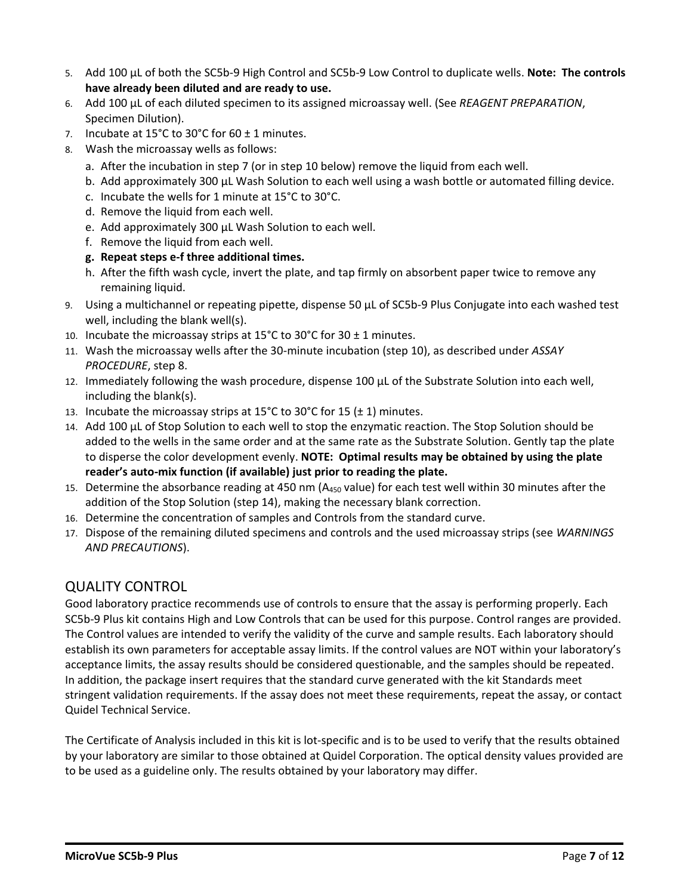- 5. Add 100 µL of both the SC5b-9 High Control and SC5b-9 Low Control to duplicate wells. **Note: The controls have already been diluted and are ready to use.**
- 6. Add 100 µL of each diluted specimen to its assigned microassay well. (See *REAGENT PREPARATION*, Specimen Dilution).
- 7. Incubate at  $15^{\circ}$ C to  $30^{\circ}$ C for  $60 \pm 1$  minutes.
- 8. Wash the microassay wells as follows:
	- a. After the incubation in step 7 (or in step 10 below) remove the liquid from each well.
	- b. Add approximately 300 µL Wash Solution to each well using a wash bottle or automated filling device.
	- c. Incubate the wells for 1 minute at 15°C to 30°C.
	- d. Remove the liquid from each well.
	- e. Add approximately 300 µL Wash Solution to each well.
	- f. Remove the liquid from each well.
	- **g. Repeat steps e-f three additional times.**
	- h. After the fifth wash cycle, invert the plate, and tap firmly on absorbent paper twice to remove any remaining liquid.
- 9. Using a multichannel or repeating pipette, dispense 50 µL of SC5b-9 Plus Conjugate into each washed test well, including the blank well(s).
- 10. Incubate the microassay strips at 15°C to 30°C for 30  $\pm$  1 minutes.
- 11. Wash the microassay wells after the 30-minute incubation (step 10), as described under *ASSAY PROCEDURE*, step 8.
- 12. Immediately following the wash procedure, dispense 100 µL of the Substrate Solution into each well, including the blank(s).
- 13. Incubate the microassay strips at 15 $^{\circ}$ C to 30 $^{\circ}$ C for 15 ( $\pm$  1) minutes.
- 14. Add 100 µL of Stop Solution to each well to stop the enzymatic reaction. The Stop Solution should be added to the wells in the same order and at the same rate as the Substrate Solution. Gently tap the plate to disperse the color development evenly. **NOTE: Optimal results may be obtained by using the plate reader's auto-mix function (if available) just prior to reading the plate.**
- 15. Determine the absorbance reading at 450 nm ( $A_{450}$  value) for each test well within 30 minutes after the addition of the Stop Solution (step 14), making the necessary blank correction.
- 16. Determine the concentration of samples and Controls from the standard curve.
- 17. Dispose of the remaining diluted specimens and controls and the used microassay strips (see *WARNINGS AND PRECAUTIONS*).

# QUALITY CONTROL

Good laboratory practice recommends use of controls to ensure that the assay is performing properly. Each SC5b-9 Plus kit contains High and Low Controls that can be used for this purpose. Control ranges are provided. The Control values are intended to verify the validity of the curve and sample results. Each laboratory should establish its own parameters for acceptable assay limits. If the control values are NOT within your laboratory's acceptance limits, the assay results should be considered questionable, and the samples should be repeated. In addition, the package insert requires that the standard curve generated with the kit Standards meet stringent validation requirements. If the assay does not meet these requirements, repeat the assay, or contact Quidel Technical Service.

The Certificate of Analysis included in this kit is lot-specific and is to be used to verify that the results obtained by your laboratory are similar to those obtained at Quidel Corporation. The optical density values provided are to be used as a guideline only. The results obtained by your laboratory may differ.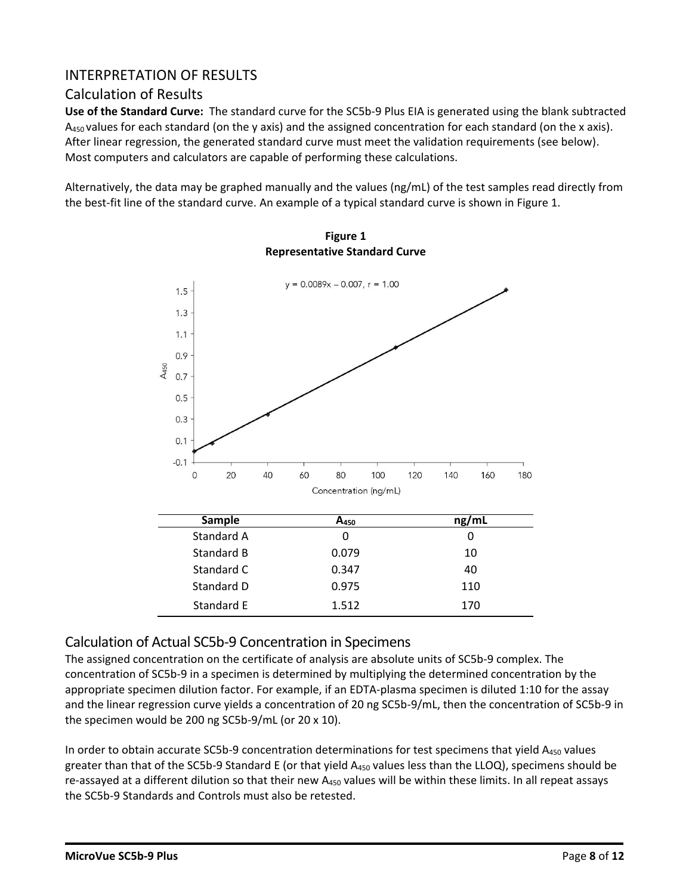# INTERPRETATION OF RESULTS

# Calculation of Results

**Use of the Standard Curve:** The standard curve for the SC5b-9 Plus EIA is generated using the blank subtracted  $A_{450}$  values for each standard (on the y axis) and the assigned concentration for each standard (on the x axis). After linear regression, the generated standard curve must meet the validation requirements (see below). Most computers and calculators are capable of performing these calculations.

Alternatively, the data may be graphed manually and the values (ng/mL) of the test samples read directly from the best-fit line of the standard curve. An example of a typical standard curve is shown in Figure 1.



**Figure 1 Representative Standard Curve**

# Calculation of Actual SC5b-9 Concentration in Specimens

The assigned concentration on the certificate of analysis are absolute units of SC5b-9 complex. The concentration of SC5b-9 in a specimen is determined by multiplying the determined concentration by the appropriate specimen dilution factor. For example, if an EDTA-plasma specimen is diluted 1:10 for the assay and the linear regression curve yields a concentration of 20 ng SC5b-9/mL, then the concentration of SC5b-9 in the specimen would be 200 ng SC5b-9/mL (or 20 x 10).

In order to obtain accurate SC5b-9 concentration determinations for test specimens that yield A<sub>450</sub> values greater than that of the SC5b-9 Standard E (or that yield  $A_{450}$  values less than the LLOQ), specimens should be re-assayed at a different dilution so that their new  $A_{450}$  values will be within these limits. In all repeat assays the SC5b-9 Standards and Controls must also be retested.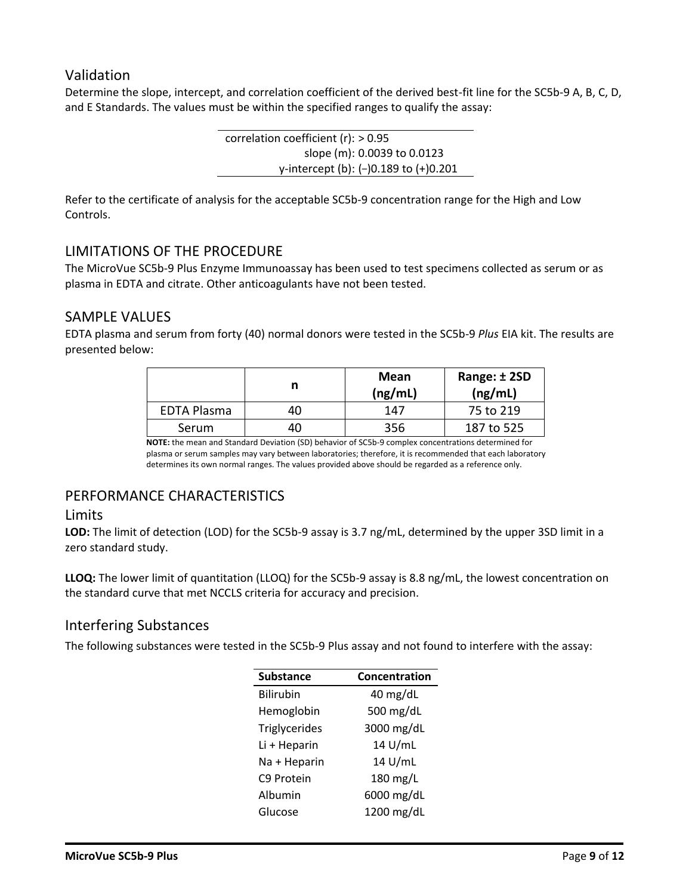# Validation

Determine the slope, intercept, and correlation coefficient of the derived best-fit line for the SC5b-9 A, B, C, D, and E Standards. The values must be within the specified ranges to qualify the assay:

> correlation coefficient (r): > 0.95 slope (m): 0.0039 to 0.0123 y-intercept (b): (–)0.189 to (+)0.201

Refer to the certificate of analysis for the acceptable SC5b-9 concentration range for the High and Low Controls.

#### LIMITATIONS OF THE PROCEDURE

The MicroVue SC5b-9 Plus Enzyme Immunoassay has been used to test specimens collected as serum or as plasma in EDTA and citrate. Other anticoagulants have not been tested.

# SAMPLE VALUES

EDTA plasma and serum from forty (40) normal donors were tested in the SC5b-9 *Plus* EIA kit. The results are presented below:

|                    |    | Mean<br>(ng/mL) | Range: ± 2SD<br>(ng/mL) |
|--------------------|----|-----------------|-------------------------|
| <b>EDTA Plasma</b> | 40 | 147             | 75 to 219               |
| Serum              | 40 | 356             | 187 to 525              |

**NOTE:** the mean and Standard Deviation (SD) behavior of SC5b-9 complex concentrations determined for plasma or serum samples may vary between laboratories; therefore, it is recommended that each laboratory determines its own normal ranges. The values provided above should be regarded as a reference only.

# PERFORMANCE CHARACTERISTICS

#### Limits

**LOD:** The limit of detection (LOD) for the SC5b-9 assay is 3.7 ng/mL, determined by the upper 3SD limit in a zero standard study.

**LLOQ:** The lower limit of quantitation (LLOQ) for the SC5b-9 assay is 8.8 ng/mL, the lowest concentration on the standard curve that met NCCLS criteria for accuracy and precision.

#### Interfering Substances

The following substances were tested in the SC5b-9 Plus assay and not found to interfere with the assay:

| <b>Substance</b> | Concentration |  |
|------------------|---------------|--|
| <b>Bilirubin</b> | 40 mg/dL      |  |
| Hemoglobin       | 500 mg/dL     |  |
| Triglycerides    | 3000 mg/dL    |  |
| Li + Heparin     | 14 U/mL       |  |
| Na + Heparin     | 14 U/mL       |  |
| C9 Protein       | 180 mg/L      |  |
| Albumin          | 6000 mg/dL    |  |
| Glucose          | 1200 mg/dL    |  |
|                  |               |  |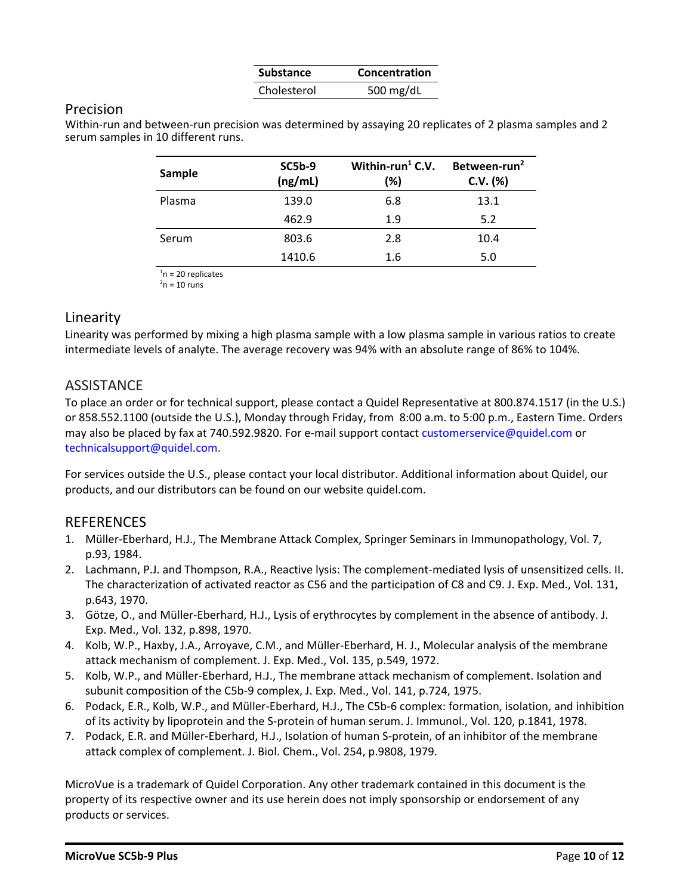| <b>Substance</b> | Concentration |
|------------------|---------------|
| Cholesterol      | 500 mg/dL     |

#### Precision

Within-run and between-run precision was determined by assaying 20 replicates of 2 plasma samples and 2 serum samples in 10 different runs.

| Sample | <b>SC5b-9</b><br>(ng/mL) | Within-run <sup>1</sup> C.V.<br>(%) | Between-run <sup>2</sup><br>$C.V.$ (%) |
|--------|--------------------------|-------------------------------------|----------------------------------------|
| Plasma | 139.0                    | 6.8                                 | 13.1                                   |
|        | 462.9                    | 1.9                                 | 5.2                                    |
| Serum  | 803.6                    | 2.8                                 | 10.4                                   |
|        | 1410.6                   | 1.6                                 | 5.0                                    |

 $n = 20$  replicates

 $2n = 10$  runs

# Linearity

Linearity was performed by mixing a high plasma sample with a low plasma sample in various ratios to create intermediate levels of analyte. The average recovery was 94% with an absolute range of 86% to 104%.

# **ASSISTANCE**

To place an order or for technical support, please contact a Quidel Representative at 800.874.1517 (in the U.S.) or 858.552.1100 (outside the U.S.), Monday through Friday, from 8:00 a.m. to 5:00 p.m., Eastern Time. Orders may also be placed by fax at 740.592.9820. For e-mail support contact customerservice@quidel.com or technicalsupport@quidel.com.

For services outside the U.S., please contact your local distributor. Additional information about Quidel, our products, and our distributors can be found on our website quidel.com.

#### REFERENCES

- 1. Müller-Eberhard, H.J., The Membrane Attack Complex, Springer Seminars in Immunopathology, Vol. 7, p.93, 1984.
- 2. Lachmann, P.J. and Thompson, R.A., Reactive lysis: The complement-mediated lysis of unsensitized cells. II. The characterization of activated reactor as C56 and the participation of C8 and C9. J. Exp. Med., Vol. 131, p.643, 1970.
- 3. Götze, O., and Müller-Eberhard, H.J., Lysis of erythrocytes by complement in the absence of antibody. J. Exp. Med., Vol. 132, p.898, 1970.
- 4. Kolb, W.P., Haxby, J.A., Arroyave, C.M., and Müller-Eberhard, H. J., Molecular analysis of the membrane attack mechanism of complement. J. Exp. Med., Vol. 135, p.549, 1972.
- 5. Kolb, W.P., and Müller-Eberhard, H.J., The membrane attack mechanism of complement. Isolation and subunit composition of the C5b-9 complex, J. Exp. Med., Vol. 141, p.724, 1975.
- 6. Podack, E.R., Kolb, W.P., and Müller-Eberhard, H.J., The C5b-6 complex: formation, isolation, and inhibition of its activity by lipoprotein and the S-protein of human serum. J. Immunol., Vol. 120, p.1841, 1978.
- 7. Podack, E.R. and Müller-Eberhard, H.J., Isolation of human S-protein, of an inhibitor of the membrane attack complex of complement. J. Biol. Chem., Vol. 254, p.9808, 1979.

MicroVue is a trademark of Quidel Corporation. Any other trademark contained in this document is the property of its respective owner and its use herein does not imply sponsorship or endorsement of any products or services.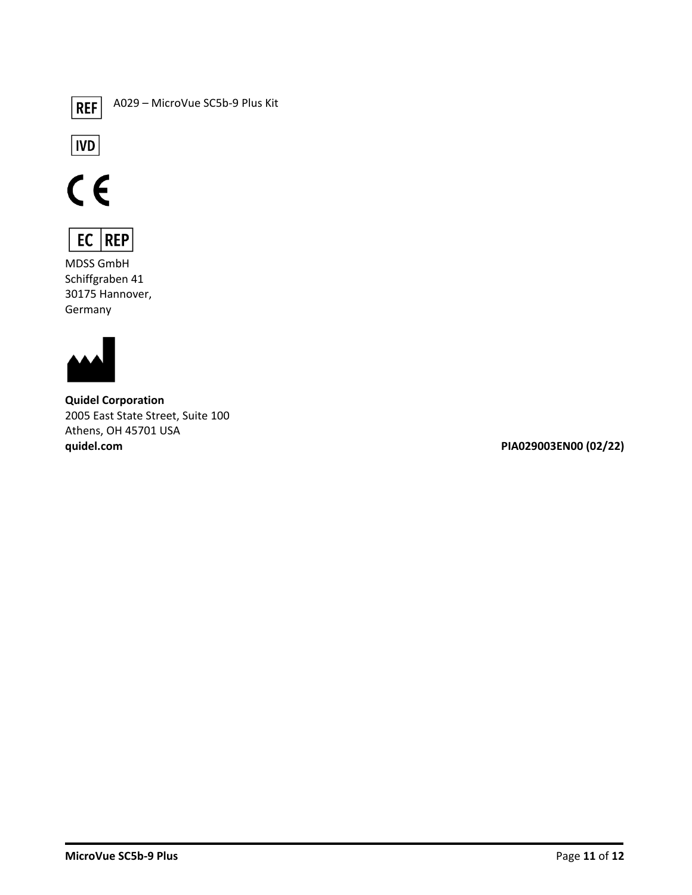

A029 – MicroVue SC5b-9 Plus Kit







MDSS GmbH Schiffgraben 41 30175 Hannover, Germany



**Quidel Corporation** 2005 East State Street, Suite 100 Athens, OH 45701 USA **quidel.com PIA029003EN00 (02/22)**